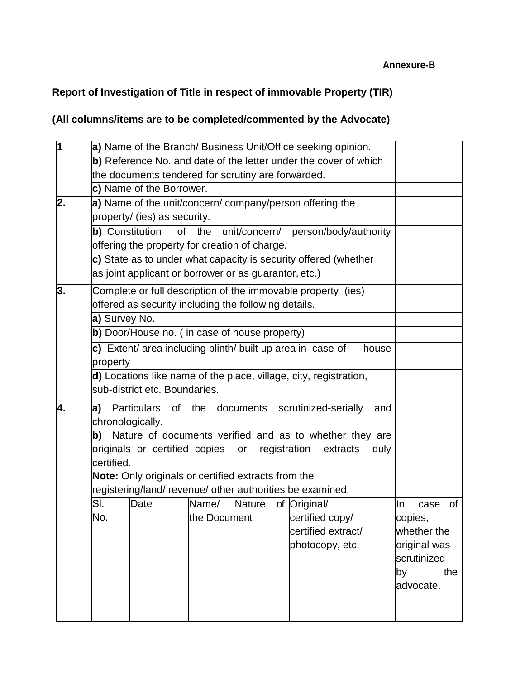#### **Annexure-B**

# **Report of Investigation of Title in respect of immovable Property (TIR)**

## **(All columns/items are to be completed/commented by the Advocate)**

| $\overline{\mathbf{1}}$ |                  |                                                            |              |               | a) Name of the Branch/ Business Unit/Office seeking opinion.      |      |              |     |
|-------------------------|------------------|------------------------------------------------------------|--------------|---------------|-------------------------------------------------------------------|------|--------------|-----|
|                         |                  |                                                            |              |               | b) Reference No. and date of the letter under the cover of which  |      |              |     |
|                         |                  | the documents tendered for scrutiny are forwarded.         |              |               |                                                                   |      |              |     |
|                         |                  | c) Name of the Borrower.                                   |              |               |                                                                   |      |              |     |
| 2.                      |                  |                                                            |              |               | a) Name of the unit/concern/ company/person offering the          |      |              |     |
|                         |                  | property/ (ies) as security.                               |              |               |                                                                   |      |              |     |
|                         |                  | <b>b)</b> Constitution                                     |              |               | of the unit/concern/ person/body/authority                        |      |              |     |
|                         |                  | offering the property for creation of charge.              |              |               |                                                                   |      |              |     |
|                         |                  |                                                            |              |               | c) State as to under what capacity is security offered (whether   |      |              |     |
|                         |                  | as joint applicant or borrower or as guarantor, etc.)      |              |               |                                                                   |      |              |     |
| 3.                      |                  |                                                            |              |               | Complete or full description of the immovable property (ies)      |      |              |     |
|                         |                  | offered as security including the following details.       |              |               |                                                                   |      |              |     |
|                         | a) Survey No.    |                                                            |              |               |                                                                   |      |              |     |
|                         |                  | b) Door/House no. (in case of house property)              |              |               |                                                                   |      |              |     |
|                         |                  | c) Extent/ area including plinth/ built up area in case of |              |               | house                                                             |      |              |     |
|                         | property         |                                                            |              |               |                                                                   |      |              |     |
|                         |                  |                                                            |              |               | d) Locations like name of the place, village, city, registration, |      |              |     |
|                         |                  | sub-district etc. Boundaries.                              |              |               |                                                                   |      |              |     |
| 4.                      |                  |                                                            |              |               | a) Particulars of the documents scrutinized-serially              | and  |              |     |
|                         | chronologically. |                                                            |              |               |                                                                   |      |              |     |
|                         |                  |                                                            |              |               | b) Nature of documents verified and as to whether they are        |      |              |     |
|                         |                  | originals or certified copies or                           |              |               | registration<br>extracts                                          | duly |              |     |
|                         | certified.       |                                                            |              |               |                                                                   |      |              |     |
|                         |                  | Note: Only originals or certified extracts from the        |              |               |                                                                   |      |              |     |
|                         |                  |                                                            |              |               | registering/land/revenue/other authorities be examined.           |      |              |     |
|                         | SI.              | Date                                                       | Name/        | <b>Nature</b> | of Original/                                                      |      | In<br>case   | 0f  |
|                         | No.              |                                                            | the Document |               | certified copy/                                                   |      | copies,      |     |
|                         |                  |                                                            |              |               | certified extract/                                                |      | whether the  |     |
|                         |                  |                                                            |              |               | photocopy, etc.                                                   |      | original was |     |
|                         |                  |                                                            |              |               |                                                                   |      | scrutinized  |     |
|                         |                  |                                                            |              |               |                                                                   |      | by           | the |
|                         |                  |                                                            |              |               |                                                                   |      | advocate.    |     |
|                         |                  |                                                            |              |               |                                                                   |      |              |     |
|                         |                  |                                                            |              |               |                                                                   |      |              |     |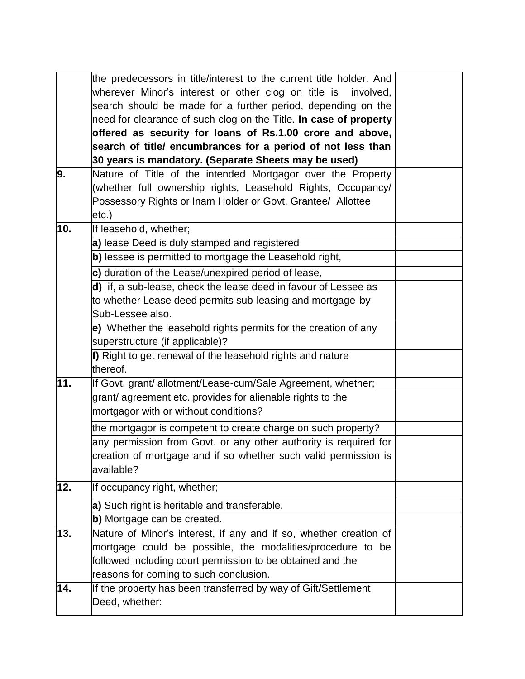|     | the predecessors in title/interest to the current title holder. And |  |
|-----|---------------------------------------------------------------------|--|
|     |                                                                     |  |
|     | wherever Minor's interest or other clog on title is involved,       |  |
|     | search should be made for a further period, depending on the        |  |
|     | need for clearance of such clog on the Title. In case of property   |  |
|     | offered as security for loans of Rs.1.00 crore and above,           |  |
|     | search of title/ encumbrances for a period of not less than         |  |
|     | 30 years is mandatory. (Separate Sheets may be used)                |  |
| 9.  | Nature of Title of the intended Mortgagor over the Property         |  |
|     | (whether full ownership rights, Leasehold Rights, Occupancy/        |  |
|     | Possessory Rights or Inam Holder or Govt. Grantee/ Allottee         |  |
|     | etc.)                                                               |  |
| 10. | If leasehold, whether;                                              |  |
|     | a) lease Deed is duly stamped and registered                        |  |
|     | b) lessee is permitted to mortgage the Leasehold right,             |  |
|     | c) duration of the Lease/unexpired period of lease,                 |  |
|     | d) if, a sub-lease, check the lease deed in favour of Lessee as     |  |
|     | to whether Lease deed permits sub-leasing and mortgage by           |  |
|     | Sub-Lessee also.                                                    |  |
|     | e) Whether the leasehold rights permits for the creation of any     |  |
|     | superstructure (if applicable)?                                     |  |
|     | f) Right to get renewal of the leasehold rights and nature          |  |
|     | thereof.                                                            |  |
| 11. | If Govt. grant/ allotment/Lease-cum/Sale Agreement, whether;        |  |
|     | grant/ agreement etc. provides for alienable rights to the          |  |
|     | mortgagor with or without conditions?                               |  |
|     | the mortgagor is competent to create charge on such property?       |  |
|     | any permission from Govt. or any other authority is required for    |  |
|     | creation of mortgage and if so whether such valid permission is     |  |
|     | available?                                                          |  |
|     |                                                                     |  |
| 12. | If occupancy right, whether;                                        |  |
|     | a) Such right is heritable and transferable,                        |  |
|     | b) Mortgage can be created.                                         |  |
| 13. | Nature of Minor's interest, if any and if so, whether creation of   |  |
|     | mortgage could be possible, the modalities/procedure to be          |  |
|     | followed including court permission to be obtained and the          |  |
|     | reasons for coming to such conclusion.                              |  |
| 14. | If the property has been transferred by way of Gift/Settlement      |  |
|     | Deed, whether:                                                      |  |
|     |                                                                     |  |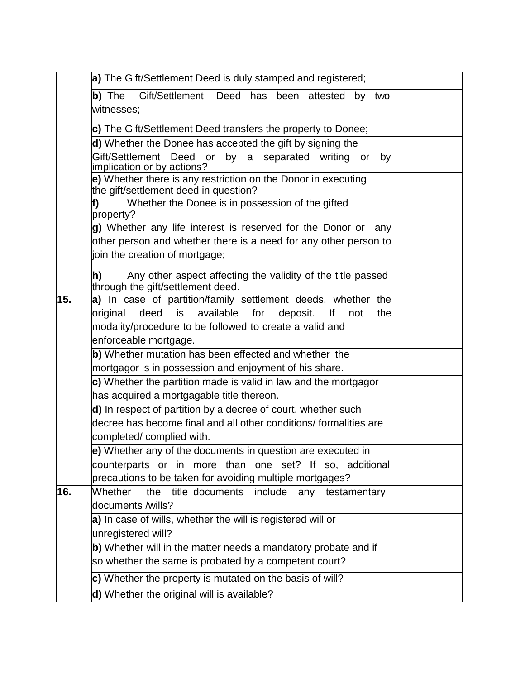|     | a) The Gift/Settlement Deed is duly stamped and registered;                                                               |  |
|-----|---------------------------------------------------------------------------------------------------------------------------|--|
|     | Gift/Settlement Deed has been attested<br>b) The<br>by<br>two                                                             |  |
|     | witnesses;                                                                                                                |  |
|     | c) The Gift/Settlement Deed transfers the property to Donee;                                                              |  |
|     | d) Whether the Donee has accepted the gift by signing the                                                                 |  |
|     | Gift/Settlement Deed or by a separated writing or<br>by<br>implication or by actions?                                     |  |
|     | e) Whether there is any restriction on the Donor in executing                                                             |  |
|     | the gift/settlement deed in question?<br>Whether the Donee is in possession of the gifted                                 |  |
|     | f)<br>property?                                                                                                           |  |
|     | g) Whether any life interest is reserved for the Donor or<br>any                                                          |  |
|     | other person and whether there is a need for any other person to                                                          |  |
|     | join the creation of mortgage;                                                                                            |  |
|     | Any other aspect affecting the validity of the title passed<br>h)<br>through the gift/settlement deed.                    |  |
| 15. | a) In case of partition/family settlement deeds, whether the                                                              |  |
|     | deed<br>is available<br>for<br>deposit.<br>original<br>lf<br>not<br>the                                                   |  |
|     | modality/procedure to be followed to create a valid and                                                                   |  |
|     | enforceable mortgage.                                                                                                     |  |
|     | b) Whether mutation has been effected and whether the                                                                     |  |
|     | mortgagor is in possession and enjoyment of his share.<br>c) Whether the partition made is valid in law and the mortgagor |  |
|     | has acquired a mortgagable title thereon.                                                                                 |  |
|     | d) In respect of partition by a decree of court, whether such                                                             |  |
|     | decree has become final and all other conditions/ formalities are                                                         |  |
|     | completed/complied with.                                                                                                  |  |
|     | e) Whether any of the documents in question are executed in                                                               |  |
|     | counterparts or in more than one set? If so, additional                                                                   |  |
| 16. | precautions to be taken for avoiding multiple mortgages?<br>Whether<br>the title documents include                        |  |
|     | any<br>testamentary<br>documents /wills?                                                                                  |  |
|     | a) In case of wills, whether the will is registered will or                                                               |  |
|     | unregistered will?                                                                                                        |  |
|     | b) Whether will in the matter needs a mandatory probate and if                                                            |  |
|     | so whether the same is probated by a competent court?                                                                     |  |
|     | c) Whether the property is mutated on the basis of will?                                                                  |  |
|     | d) Whether the original will is available?                                                                                |  |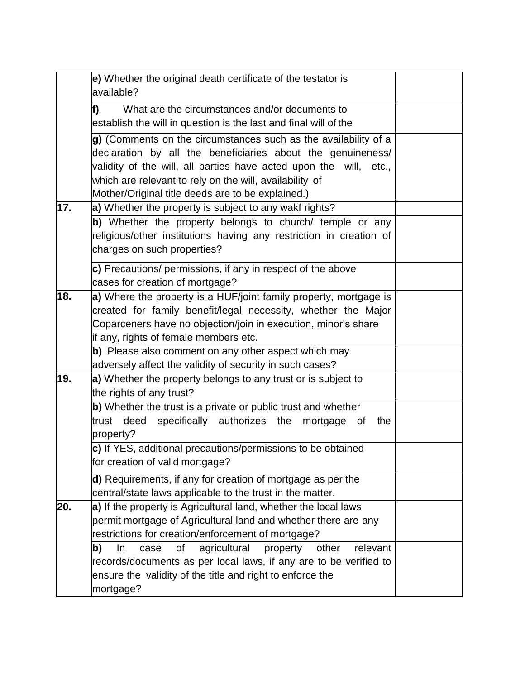|     | e) Whether the original death certificate of the testator is<br>available?                                                                                                                                                                                                                                          |  |
|-----|---------------------------------------------------------------------------------------------------------------------------------------------------------------------------------------------------------------------------------------------------------------------------------------------------------------------|--|
|     | What are the circumstances and/or documents to<br>lf)<br>establish the will in question is the last and final will of the                                                                                                                                                                                           |  |
|     | g) (Comments on the circumstances such as the availability of a<br>declaration by all the beneficiaries about the genuineness/<br>validity of the will, all parties have acted upon the will, etc.,<br>which are relevant to rely on the will, availability of<br>Mother/Original title deeds are to be explained.) |  |
| 17. | a) Whether the property is subject to any wakf rights?                                                                                                                                                                                                                                                              |  |
|     | b) Whether the property belongs to church/ temple or any<br>religious/other institutions having any restriction in creation of<br>charges on such properties?                                                                                                                                                       |  |
|     | c) Precautions/ permissions, if any in respect of the above<br>cases for creation of mortgage?                                                                                                                                                                                                                      |  |
| 18. | a) Where the property is a HUF/joint family property, mortgage is<br>created for family benefit/legal necessity, whether the Major<br>Coparceners have no objection/join in execution, minor's share<br>if any, rights of female members etc.                                                                       |  |
|     | b) Please also comment on any other aspect which may<br>adversely affect the validity of security in such cases?                                                                                                                                                                                                    |  |
| 19. | a) Whether the property belongs to any trust or is subject to<br>the rights of any trust?                                                                                                                                                                                                                           |  |
|     | b) Whether the trust is a private or public trust and whether<br>trust deed specifically authorizes the<br>mortgage of<br>the<br>property?                                                                                                                                                                          |  |
|     | c) If YES, additional precautions/permissions to be obtained<br>for creation of valid mortgage?                                                                                                                                                                                                                     |  |
|     | d) Requirements, if any for creation of mortgage as per the<br>central/state laws applicable to the trust in the matter.                                                                                                                                                                                            |  |
| 20. | a) If the property is Agricultural land, whether the local laws<br>permit mortgage of Agricultural land and whether there are any<br>restrictions for creation/enforcement of mortgage?                                                                                                                             |  |
|     | agricultural<br>of<br>property<br>relevant<br>b)<br>In<br>case<br>other<br>records/documents as per local laws, if any are to be verified to<br>ensure the validity of the title and right to enforce the<br>mortgage?                                                                                              |  |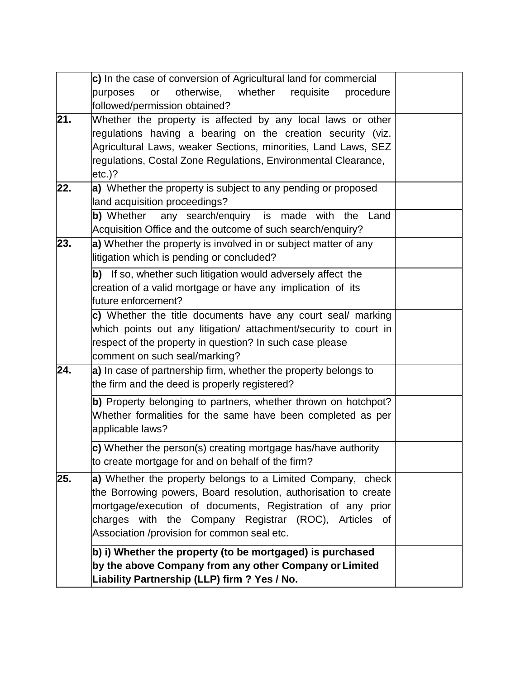|     | c) In the case of conversion of Agricultural land for commercial  |  |
|-----|-------------------------------------------------------------------|--|
|     | otherwise,<br>whether<br>or<br>requisite<br>purposes<br>procedure |  |
|     | followed/permission obtained?                                     |  |
| 21. | Whether the property is affected by any local laws or other       |  |
|     | regulations having a bearing on the creation security (viz.       |  |
|     | Agricultural Laws, weaker Sections, minorities, Land Laws, SEZ    |  |
|     | regulations, Costal Zone Regulations, Environmental Clearance,    |  |
|     | etc.)?                                                            |  |
| 22. | a) Whether the property is subject to any pending or proposed     |  |
|     | land acquisition proceedings?                                     |  |
|     | b) Whether any search/enquiry is made with the<br>Land            |  |
|     | Acquisition Office and the outcome of such search/enquiry?        |  |
| 23. | a) Whether the property is involved in or subject matter of any   |  |
|     | litigation which is pending or concluded?                         |  |
|     | b) If so, whether such litigation would adversely affect the      |  |
|     | creation of a valid mortgage or have any implication of its       |  |
|     | future enforcement?                                               |  |
|     | c) Whether the title documents have any court seal/ marking       |  |
|     | which points out any litigation/ attachment/security to court in  |  |
|     | respect of the property in question? In such case please          |  |
|     | comment on such seal/marking?                                     |  |
| 24. | a) In case of partnership firm, whether the property belongs to   |  |
|     | the firm and the deed is properly registered?                     |  |
|     | b) Property belonging to partners, whether thrown on hotchpot?    |  |
|     | Whether formalities for the same have been completed as per       |  |
|     | applicable laws?                                                  |  |
|     | c) Whether the person(s) creating mortgage has/have authority     |  |
|     | to create mortgage for and on behalf of the firm?                 |  |
| 25. | a) Whether the property belongs to a Limited Company, check       |  |
|     | the Borrowing powers, Board resolution, authorisation to create   |  |
|     | mortgage/execution of documents, Registration of any prior        |  |
|     | charges with the Company Registrar (ROC), Articles of             |  |
|     | Association /provision for common seal etc.                       |  |
|     | b) i) Whether the property (to be mortgaged) is purchased         |  |
|     | by the above Company from any other Company or Limited            |  |
|     | Liability Partnership (LLP) firm ? Yes / No.                      |  |
|     |                                                                   |  |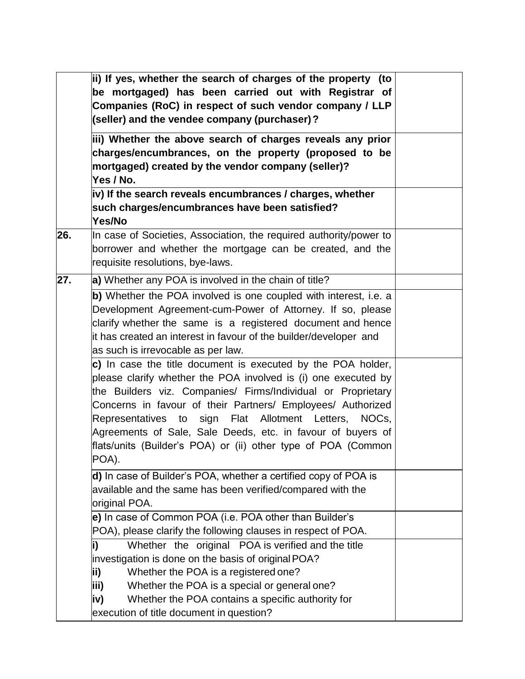|     | ii) If yes, whether the search of charges of the property (to<br>be mortgaged) has been carried out with Registrar of<br>Companies (RoC) in respect of such vendor company / LLP<br>(seller) and the vendee company (purchaser)?                                                                                                                                                                                                                                |  |
|-----|-----------------------------------------------------------------------------------------------------------------------------------------------------------------------------------------------------------------------------------------------------------------------------------------------------------------------------------------------------------------------------------------------------------------------------------------------------------------|--|
|     | iii) Whether the above search of charges reveals any prior<br>charges/encumbrances, on the property (proposed to be<br>mortgaged) created by the vendor company (seller)?<br>Yes / No.                                                                                                                                                                                                                                                                          |  |
|     | iv) If the search reveals encumbrances / charges, whether<br>such charges/encumbrances have been satisfied?<br>Yes/No                                                                                                                                                                                                                                                                                                                                           |  |
| 26. | In case of Societies, Association, the required authority/power to<br>borrower and whether the mortgage can be created, and the<br>requisite resolutions, bye-laws.                                                                                                                                                                                                                                                                                             |  |
| 27. | a) Whether any POA is involved in the chain of title?                                                                                                                                                                                                                                                                                                                                                                                                           |  |
|     | b) Whether the POA involved is one coupled with interest, i.e. a<br>Development Agreement-cum-Power of Attorney. If so, please<br>clarify whether the same is a registered document and hence<br>it has created an interest in favour of the builder/developer and<br>as such is irrevocable as per law.                                                                                                                                                        |  |
|     | c) In case the title document is executed by the POA holder,<br>please clarify whether the POA involved is (i) one executed by<br>the Builders viz. Companies/ Firms/Individual or Proprietary<br>Concerns in favour of their Partners/ Employees/ Authorized<br>Representatives to sign Flat Allotment Letters, NOCs,<br>Agreements of Sale, Sale Deeds, etc. in favour of buyers of<br>flats/units (Builder's POA) or (ii) other type of POA (Common<br>POA). |  |
|     | d) In case of Builder's POA, whether a certified copy of POA is<br>available and the same has been verified/compared with the<br>original POA.                                                                                                                                                                                                                                                                                                                  |  |
|     | e) In case of Common POA (i.e. POA other than Builder's<br>POA), please clarify the following clauses in respect of POA.                                                                                                                                                                                                                                                                                                                                        |  |
|     | Whether the original POA is verified and the title<br>investigation is done on the basis of original POA?<br>Whether the POA is a registered one?<br>ii)<br>iii)<br>Whether the POA is a special or general one?<br>Whether the POA contains a specific authority for<br>iv)                                                                                                                                                                                    |  |
|     | execution of title document in question?                                                                                                                                                                                                                                                                                                                                                                                                                        |  |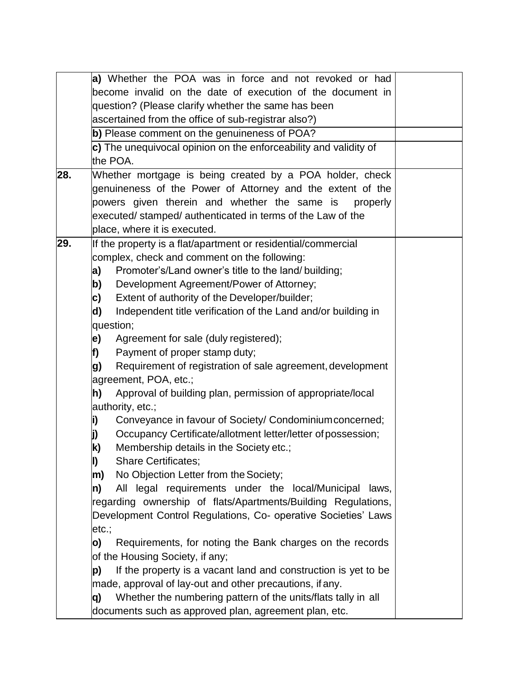|     |                                                     | a) Whether the POA was in force and not revoked or had                                                                                                                                                                                                                            |  |
|-----|-----------------------------------------------------|-----------------------------------------------------------------------------------------------------------------------------------------------------------------------------------------------------------------------------------------------------------------------------------|--|
|     |                                                     | become invalid on the date of execution of the document in                                                                                                                                                                                                                        |  |
|     |                                                     | question? (Please clarify whether the same has been                                                                                                                                                                                                                               |  |
|     | ascertained from the office of sub-registrar also?) |                                                                                                                                                                                                                                                                                   |  |
|     |                                                     | b) Please comment on the genuineness of POA?                                                                                                                                                                                                                                      |  |
|     |                                                     | c) The unequivocal opinion on the enforceability and validity of                                                                                                                                                                                                                  |  |
|     |                                                     | the POA.                                                                                                                                                                                                                                                                          |  |
| 28. |                                                     | Whether mortgage is being created by a POA holder, check<br>genuineness of the Power of Attorney and the extent of the<br>powers given therein and whether the same is<br>properly<br>executed/ stamped/ authenticated in terms of the Law of the<br>place, where it is executed. |  |
| 29. |                                                     | If the property is a flat/apartment or residential/commercial                                                                                                                                                                                                                     |  |
|     |                                                     | complex, check and comment on the following:                                                                                                                                                                                                                                      |  |
|     | a)                                                  | Promoter's/Land owner's title to the land/ building;                                                                                                                                                                                                                              |  |
|     | b)                                                  | Development Agreement/Power of Attorney;                                                                                                                                                                                                                                          |  |
|     | c)                                                  | Extent of authority of the Developer/builder;                                                                                                                                                                                                                                     |  |
|     | d)                                                  | Independent title verification of the Land and/or building in                                                                                                                                                                                                                     |  |
|     |                                                     | question;                                                                                                                                                                                                                                                                         |  |
|     | le)                                                 | Agreement for sale (duly registered);                                                                                                                                                                                                                                             |  |
|     | f)                                                  | Payment of proper stamp duty;                                                                                                                                                                                                                                                     |  |
|     | g)                                                  | Requirement of registration of sale agreement, development                                                                                                                                                                                                                        |  |
|     |                                                     | agreement, POA, etc.;                                                                                                                                                                                                                                                             |  |
|     | h)                                                  | Approval of building plan, permission of appropriate/local                                                                                                                                                                                                                        |  |
|     |                                                     | authority, etc.;                                                                                                                                                                                                                                                                  |  |
|     | i)                                                  | Conveyance in favour of Society/ Condominium concerned;                                                                                                                                                                                                                           |  |
|     |                                                     | Occupancy Certificate/allotment letter/letter of possession;                                                                                                                                                                                                                      |  |
|     | k)                                                  | Membership details in the Society etc.;                                                                                                                                                                                                                                           |  |
|     | I)                                                  | <b>Share Certificates;</b>                                                                                                                                                                                                                                                        |  |
|     | m)                                                  | No Objection Letter from the Society;                                                                                                                                                                                                                                             |  |
|     | n)                                                  | All legal requirements under the local/Municipal<br>laws,                                                                                                                                                                                                                         |  |
|     |                                                     | regarding ownership of flats/Apartments/Building Regulations,                                                                                                                                                                                                                     |  |
|     |                                                     | Development Control Regulations, Co- operative Societies' Laws                                                                                                                                                                                                                    |  |
|     | etc.:                                               |                                                                                                                                                                                                                                                                                   |  |
|     | O)                                                  | Requirements, for noting the Bank charges on the records                                                                                                                                                                                                                          |  |
|     |                                                     | of the Housing Society, if any;                                                                                                                                                                                                                                                   |  |
|     | p)                                                  | If the property is a vacant land and construction is yet to be                                                                                                                                                                                                                    |  |
|     |                                                     | made, approval of lay-out and other precautions, if any.                                                                                                                                                                                                                          |  |
|     | q)                                                  | Whether the numbering pattern of the units/flats tally in all                                                                                                                                                                                                                     |  |
|     |                                                     | documents such as approved plan, agreement plan, etc.                                                                                                                                                                                                                             |  |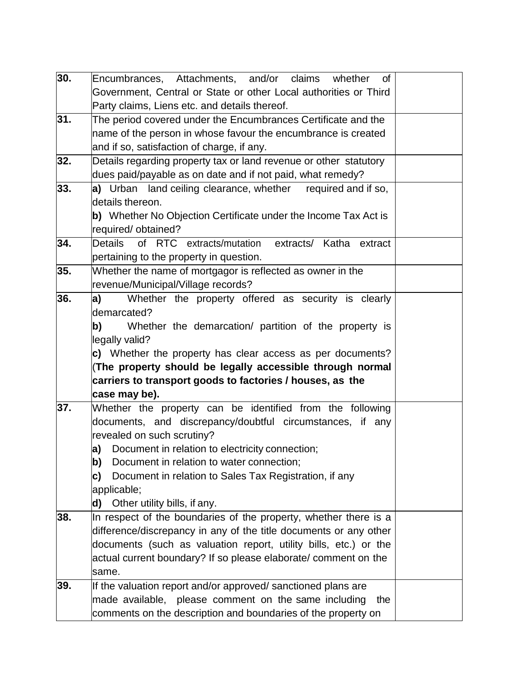| 30. | Encumbrances, Attachments, and/or claims whether<br>of            |  |
|-----|-------------------------------------------------------------------|--|
|     | Government, Central or State or other Local authorities or Third  |  |
|     | Party claims, Liens etc. and details thereof.                     |  |
| 31. | The period covered under the Encumbrances Certificate and the     |  |
|     | name of the person in whose favour the encumbrance is created     |  |
|     | and if so, satisfaction of charge, if any.                        |  |
| 32. | Details regarding property tax or land revenue or other statutory |  |
|     | dues paid/payable as on date and if not paid, what remedy?        |  |
| 33. | a) Urban land ceiling clearance, whether required and if so,      |  |
|     | details thereon.                                                  |  |
|     | b) Whether No Objection Certificate under the Income Tax Act is   |  |
|     | required/ obtained?                                               |  |
| 34. | of RTC extracts/mutation<br>Details<br>extracts/ Katha<br>extract |  |
|     | pertaining to the property in question.                           |  |
| 35. | Whether the name of mortgagor is reflected as owner in the        |  |
|     | revenue/Municipal/Village records?                                |  |
| 36. | a <br>Whether the property offered as security is clearly         |  |
|     | demarcated?                                                       |  |
|     | b)<br>Whether the demarcation/ partition of the property is       |  |
|     | legally valid?                                                    |  |
|     | c) Whether the property has clear access as per documents?        |  |
|     | (The property should be legally accessible through normal         |  |
|     | carriers to transport goods to factories / houses, as the         |  |
|     | case may be).                                                     |  |
| 37. | Whether the property can be identified from the following         |  |
|     | documents, and discrepancy/doubtful circumstances, if any         |  |
|     | revealed on such scrutiny?                                        |  |
|     | a) Document in relation to electricity connection;                |  |
|     | Document in relation to water connection;<br>b)                   |  |
|     | Document in relation to Sales Tax Registration, if any<br>c)      |  |
|     | applicable;                                                       |  |
|     | d) Other utility bills, if any.                                   |  |
| 38. | In respect of the boundaries of the property, whether there is a  |  |
|     | difference/discrepancy in any of the title documents or any other |  |
|     | documents (such as valuation report, utility bills, etc.) or the  |  |
|     | actual current boundary? If so please elaborate/ comment on the   |  |
|     | same.                                                             |  |
| 39. | If the valuation report and/or approved/ sanctioned plans are     |  |
|     | made available, please comment on the same including<br>the       |  |
|     | comments on the description and boundaries of the property on     |  |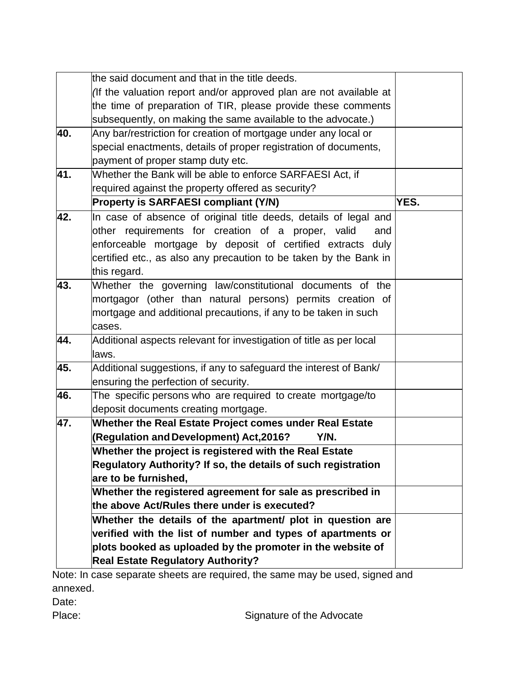|     | the said document and that in the title deeds.                                                                                                                                                                                                                                   |      |
|-----|----------------------------------------------------------------------------------------------------------------------------------------------------------------------------------------------------------------------------------------------------------------------------------|------|
|     | (If the valuation report and/or approved plan are not available at                                                                                                                                                                                                               |      |
|     | the time of preparation of TIR, please provide these comments                                                                                                                                                                                                                    |      |
|     | subsequently, on making the same available to the advocate.)                                                                                                                                                                                                                     |      |
| 40. | Any bar/restriction for creation of mortgage under any local or                                                                                                                                                                                                                  |      |
|     | special enactments, details of proper registration of documents,                                                                                                                                                                                                                 |      |
|     | payment of proper stamp duty etc.                                                                                                                                                                                                                                                |      |
| 41. | Whether the Bank will be able to enforce SARFAESI Act, if                                                                                                                                                                                                                        |      |
|     | required against the property offered as security?                                                                                                                                                                                                                               |      |
|     | <b>Property is SARFAESI compliant (Y/N)</b>                                                                                                                                                                                                                                      | YES. |
| 42. | In case of absence of original title deeds, details of legal and<br>other requirements for creation of a proper, valid<br>and<br>enforceable mortgage by deposit of certified extracts duly<br>certified etc., as also any precaution to be taken by the Bank in<br>this regard. |      |
| 43. | Whether the governing law/constitutional documents of the                                                                                                                                                                                                                        |      |
|     | mortgagor (other than natural persons) permits creation of<br>mortgage and additional precautions, if any to be taken in such                                                                                                                                                    |      |
|     | cases.                                                                                                                                                                                                                                                                           |      |
| 44. | Additional aspects relevant for investigation of title as per local                                                                                                                                                                                                              |      |
|     | laws.                                                                                                                                                                                                                                                                            |      |
| 45. | Additional suggestions, if any to safeguard the interest of Bank/                                                                                                                                                                                                                |      |
|     | ensuring the perfection of security.                                                                                                                                                                                                                                             |      |
| 46. | The specific persons who are required to create mortgage/to                                                                                                                                                                                                                      |      |
|     | deposit documents creating mortgage.                                                                                                                                                                                                                                             |      |
| 47. | Whether the Real Estate Project comes under Real Estate                                                                                                                                                                                                                          |      |
|     | (Regulation and Development) Act, 2016?<br>Y/N.                                                                                                                                                                                                                                  |      |
|     | Whether the project is registered with the Real Estate                                                                                                                                                                                                                           |      |
|     | Regulatory Authority? If so, the details of such registration                                                                                                                                                                                                                    |      |
|     | are to be furnished,                                                                                                                                                                                                                                                             |      |
|     | Whether the registered agreement for sale as prescribed in                                                                                                                                                                                                                       |      |
|     | the above Act/Rules there under is executed?                                                                                                                                                                                                                                     |      |
|     | Whether the details of the apartment/ plot in question are                                                                                                                                                                                                                       |      |
|     | verified with the list of number and types of apartments or                                                                                                                                                                                                                      |      |
|     | plots booked as uploaded by the promoter in the website of                                                                                                                                                                                                                       |      |
|     | <b>Real Estate Regulatory Authority?</b>                                                                                                                                                                                                                                         |      |

Note: In case separate sheets are required, the same may be used, signed and annexed.

Date:

Place: Place: Signature of the Advocate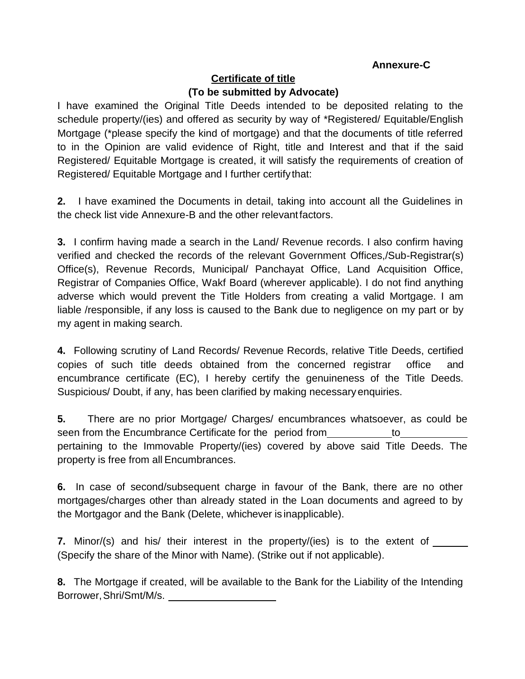#### **Annexure-C**

#### **Certificate of title (To be submitted by Advocate)**

I have examined the Original Title Deeds intended to be deposited relating to the schedule property/(ies) and offered as security by way of \*Registered/ Equitable/English Mortgage (\*please specify the kind of mortgage) and that the documents of title referred to in the Opinion are valid evidence of Right, title and Interest and that if the said Registered/ Equitable Mortgage is created, it will satisfy the requirements of creation of Registered/ Equitable Mortgage and I further certifythat:

**2.** I have examined the Documents in detail, taking into account all the Guidelines in the check list vide Annexure-B and the other relevantfactors.

**3.** I confirm having made a search in the Land/ Revenue records. I also confirm having verified and checked the records of the relevant Government Offices,/Sub-Registrar(s) Office(s), Revenue Records, Municipal/ Panchayat Office, Land Acquisition Office, Registrar of Companies Office, Wakf Board (wherever applicable). I do not find anything adverse which would prevent the Title Holders from creating a valid Mortgage. I am liable /responsible, if any loss is caused to the Bank due to negligence on my part or by my agent in making search.

**4.** Following scrutiny of Land Records/ Revenue Records, relative Title Deeds, certified copies of such title deeds obtained from the concerned registrar office and encumbrance certificate (EC), I hereby certify the genuineness of the Title Deeds. Suspicious/ Doubt, if any, has been clarified by making necessary enquiries.

**5.** There are no prior Mortgage/ Charges/ encumbrances whatsoever, as could be seen from the Encumbrance Certificate for the period from to to pertaining to the Immovable Property/(ies) covered by above said Title Deeds. The property is free from all Encumbrances.

**6.** In case of second/subsequent charge in favour of the Bank, there are no other mortgages/charges other than already stated in the Loan documents and agreed to by the Mortgagor and the Bank (Delete, whichever is inapplicable).

**7.** Minor/(s) and his/ their interest in the property/(ies) is to the extent of \_\_\_\_\_\_ (Specify the share of the Minor with Name). (Strike out if not applicable).

**8.** The Mortgage if created, will be available to the Bank for the Liability of the Intending Borrower, Shri/Smt/M/s.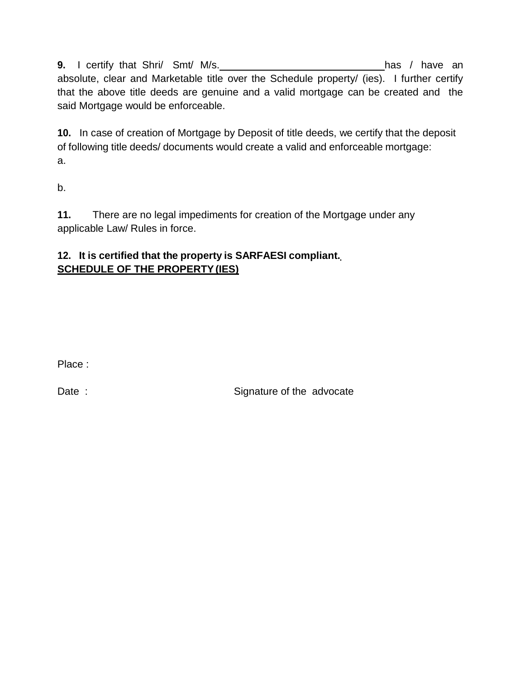**9.** I certify that Shri/ Smt/ M/s. has / have an has / have an absolute, clear and Marketable title over the Schedule property/ (ies). I further certify that the above title deeds are genuine and a valid mortgage can be created and the said Mortgage would be enforceable.

**10.** In case of creation of Mortgage by Deposit of title deeds, we certify that the deposit of following title deeds/ documents would create a valid and enforceable mortgage: a.

b.

**11.** There are no legal impediments for creation of the Mortgage under any applicable Law/ Rules in force.

#### **12. It is certified that the property is SARFAESI compliant. SCHEDULE OF THE PROPERTY(IES)**

Place :

Date : Signature of the advocate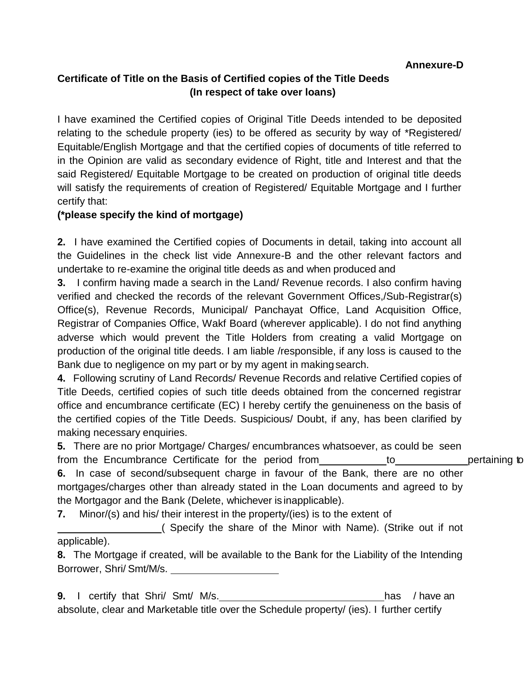### **Certificate of Title on the Basis of Certified copies of the Title Deeds (In respect of take over loans)**

I have examined the Certified copies of Original Title Deeds intended to be deposited relating to the schedule property (ies) to be offered as security by way of \*Registered/ Equitable/English Mortgage and that the certified copies of documents of title referred to in the Opinion are valid as secondary evidence of Right, title and Interest and that the said Registered/ Equitable Mortgage to be created on production of original title deeds will satisfy the requirements of creation of Registered/ Equitable Mortgage and I further certify that:

#### **(\*please specify the kind of mortgage)**

**2.** I have examined the Certified copies of Documents in detail, taking into account all the Guidelines in the check list vide Annexure-B and the other relevant factors and undertake to re-examine the original title deeds as and when produced and

**3.** I confirm having made a search in the Land/ Revenue records. I also confirm having verified and checked the records of the relevant Government Offices,/Sub-Registrar(s) Office(s), Revenue Records, Municipal/ Panchayat Office, Land Acquisition Office, Registrar of Companies Office, Wakf Board (wherever applicable). I do not find anything adverse which would prevent the Title Holders from creating a valid Mortgage on production of the original title deeds. I am liable /responsible, if any loss is caused to the Bank due to negligence on my part or by my agent in makingsearch.

**4.** Following scrutiny of Land Records/ Revenue Records and relative Certified copies of Title Deeds, certified copies of such title deeds obtained from the concerned registrar office and encumbrance certificate (EC) I hereby certify the genuineness on the basis of the certified copies of the Title Deeds. Suspicious/ Doubt, if any, has been clarified by making necessary enquiries.

**5.** There are no prior Mortgage/ Charges/ encumbrances whatsoever, as could be seen from the Encumbrance Certificate for the period from to bertaining to pertaining to **6.** In case of second/subsequent charge in favour of the Bank, there are no other

mortgages/charges other than already stated in the Loan documents and agreed to by the Mortgagor and the Bank (Delete, whichever is inapplicable).

**7.** Minor/(s) and his/ their interest in the property/(ies) is to the extent of

( Specify the share of the Minor with Name). (Strike out if not applicable).

**8.** The Mortgage if created, will be available to the Bank for the Liability of the Intending Borrower, Shri/ Smt/M/s.

**9.** I certify that Shri/ Smt/ M/s. has / have an has / have an absolute, clear and Marketable title over the Schedule property/ (ies). I further certify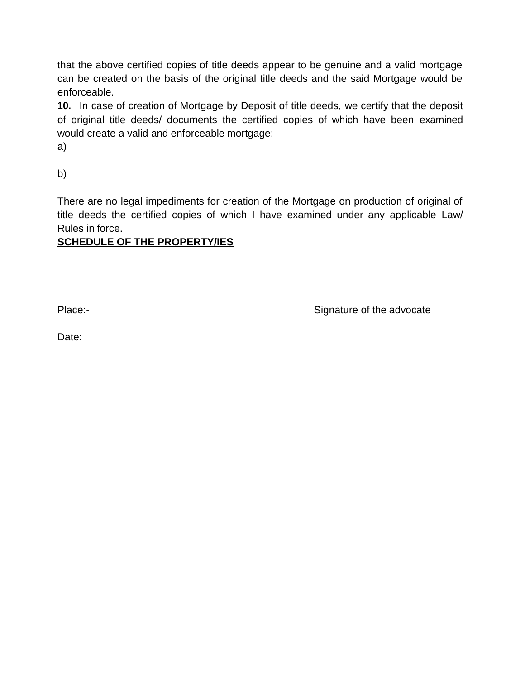that the above certified copies of title deeds appear to be genuine and a valid mortgage can be created on the basis of the original title deeds and the said Mortgage would be enforceable.

**10.** In case of creation of Mortgage by Deposit of title deeds, we certify that the deposit of original title deeds/ documents the certified copies of which have been examined would create a valid and enforceable mortgage:-

a)

b)

There are no legal impediments for creation of the Mortgage on production of original of title deeds the certified copies of which I have examined under any applicable Law/ Rules in force.

#### **SCHEDULE OF THE PROPERTY/IES**

Place:- **Signature of the advocate Place:**-

Date: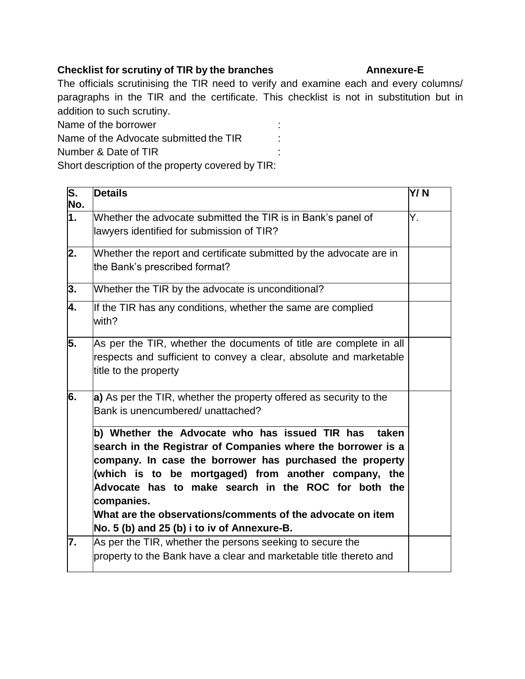#### **Checklist for scrutiny of TIR by the branches Annexure-E**

The officials scrutinising the TIR need to verify and examine each and every columns/ paragraphs in the TIR and the certificate. This checklist is not in substitution but in addition to such scrutiny.

Name of the borrower in the state of the borrower in the state of the state of the state of the state of the state of the state of the state of the state of the state of the state of the state of the state of the state of Name of the Advocate submitted the TIR :

Number & Date of TIR

Short description of the property covered by TIR:

| $\overline{\mathsf{s}}$ .<br>No. | <b>Details</b>                                                                                                                                                                                                                                                                                                                                                                                                                | Y/N |
|----------------------------------|-------------------------------------------------------------------------------------------------------------------------------------------------------------------------------------------------------------------------------------------------------------------------------------------------------------------------------------------------------------------------------------------------------------------------------|-----|
| 1.                               | Whether the advocate submitted the TIR is in Bank's panel of<br>lawyers identified for submission of TIR?                                                                                                                                                                                                                                                                                                                     | Υ.  |
| 2.                               | Whether the report and certificate submitted by the advocate are in<br>the Bank's prescribed format?                                                                                                                                                                                                                                                                                                                          |     |
| 3.                               | Whether the TIR by the advocate is unconditional?                                                                                                                                                                                                                                                                                                                                                                             |     |
| 4.                               | If the TIR has any conditions, whether the same are complied<br>with?                                                                                                                                                                                                                                                                                                                                                         |     |
| 5.                               | As per the TIR, whether the documents of title are complete in all<br>respects and sufficient to convey a clear, absolute and marketable<br>title to the property                                                                                                                                                                                                                                                             |     |
| 6.                               | a) As per the TIR, whether the property offered as security to the<br>Bank is unencumbered/ unattached?                                                                                                                                                                                                                                                                                                                       |     |
|                                  | b) Whether the Advocate who has issued TIR has<br>taken<br>search in the Registrar of Companies where the borrower is a<br>company. In case the borrower has purchased the property<br>(which is to be mortgaged) from another company, the<br>Advocate has to make search in the ROC for both the<br>companies.<br>What are the observations/comments of the advocate on item<br>No. 5 (b) and 25 (b) i to iv of Annexure-B. |     |
| 7.                               | As per the TIR, whether the persons seeking to secure the<br>property to the Bank have a clear and marketable title thereto and                                                                                                                                                                                                                                                                                               |     |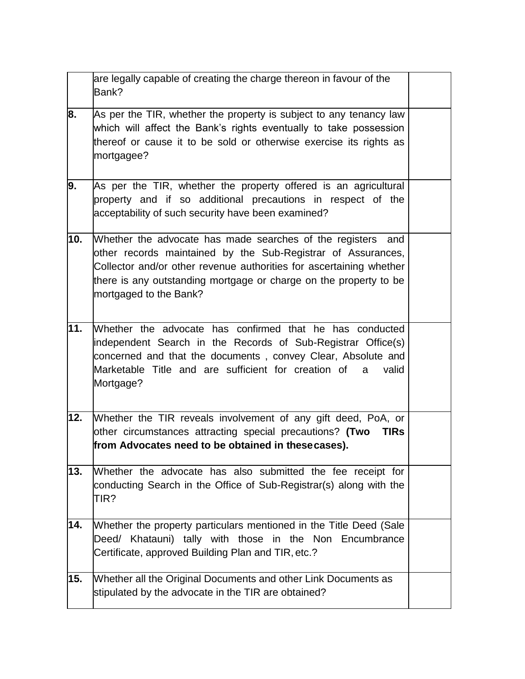|     | are legally capable of creating the charge thereon in favour of the<br>Bank?                                                                                                                                                                                                                      |  |
|-----|---------------------------------------------------------------------------------------------------------------------------------------------------------------------------------------------------------------------------------------------------------------------------------------------------|--|
| 8.  | As per the TIR, whether the property is subject to any tenancy law<br>which will affect the Bank's rights eventually to take possession<br>thereof or cause it to be sold or otherwise exercise its rights as<br>mortgagee?                                                                       |  |
| 9.  | As per the TIR, whether the property offered is an agricultural<br>property and if so additional precautions in respect of the<br>acceptability of such security have been examined?                                                                                                              |  |
| 10. | Whether the advocate has made searches of the registers and<br>other records maintained by the Sub-Registrar of Assurances,<br>Collector and/or other revenue authorities for ascertaining whether<br>there is any outstanding mortgage or charge on the property to be<br>mortgaged to the Bank? |  |
| 11. | Whether the advocate has confirmed that he has conducted<br>independent Search in the Records of Sub-Registrar Office(s)<br>concerned and that the documents, convey Clear, Absolute and<br>Marketable Title and are sufficient for creation of<br>valid<br>a<br>Mortgage?                        |  |
| 12. | Whether the TIR reveals involvement of any gift deed, PoA, or<br>other circumstances attracting special precautions? (Two<br><b>TIRs</b><br>from Advocates need to be obtained in thesecases).                                                                                                    |  |
| 13. | Whether the advocate has also submitted the fee receipt for<br>conducting Search in the Office of Sub-Registrar(s) along with the<br>TIR?                                                                                                                                                         |  |
| 14. | Whether the property particulars mentioned in the Title Deed (Sale<br>Deed/ Khatauni) tally with those in the Non Encumbrance<br>Certificate, approved Building Plan and TIR, etc.?                                                                                                               |  |
| 15. | Whether all the Original Documents and other Link Documents as<br>stipulated by the advocate in the TIR are obtained?                                                                                                                                                                             |  |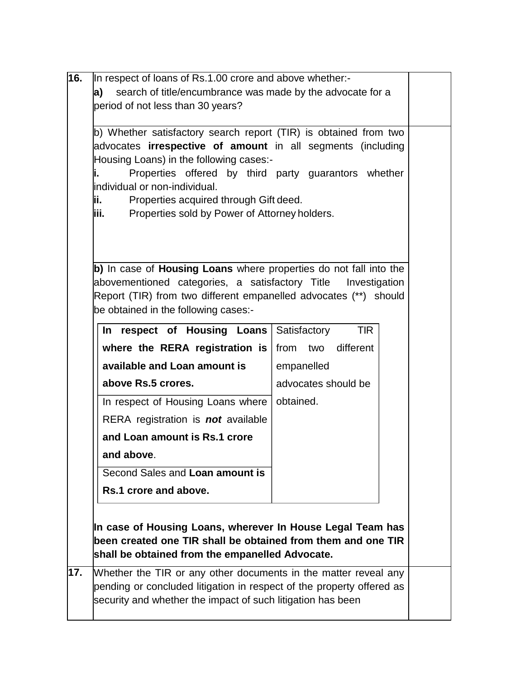| In respect of loans of Rs.1.00 crore and above whether:-                                                                                 |                            |  |  |
|------------------------------------------------------------------------------------------------------------------------------------------|----------------------------|--|--|
| a)<br>search of title/encumbrance was made by the advocate for a                                                                         |                            |  |  |
| period of not less than 30 years?                                                                                                        |                            |  |  |
|                                                                                                                                          |                            |  |  |
| b) Whether satisfactory search report (TIR) is obtained from two<br>advocates <b>irrespective of amount</b> in all segments (including   |                            |  |  |
| Housing Loans) in the following cases:-                                                                                                  |                            |  |  |
| Properties offered by third party guarantors whether<br>li.                                                                              |                            |  |  |
| lindividual or non-individual.                                                                                                           |                            |  |  |
| ii.<br>Properties acquired through Gift deed.                                                                                            |                            |  |  |
| Properties sold by Power of Attorney holders.<br>iii.                                                                                    |                            |  |  |
|                                                                                                                                          |                            |  |  |
|                                                                                                                                          |                            |  |  |
|                                                                                                                                          |                            |  |  |
| b) In case of Housing Loans where properties do not fall into the<br>abovementioned categories, a satisfactory Title Investigation       |                            |  |  |
| Report (TIR) from two different empanelled advocates (**) should                                                                         |                            |  |  |
| be obtained in the following cases:-                                                                                                     |                            |  |  |
| In respect of Housing Loans                                                                                                              | <b>TIR</b><br>Satisfactory |  |  |
| where the RERA registration is                                                                                                           | different<br>from two      |  |  |
| available and Loan amount is                                                                                                             |                            |  |  |
|                                                                                                                                          | empanelled                 |  |  |
| above Rs.5 crores.                                                                                                                       | advocates should be        |  |  |
| In respect of Housing Loans where                                                                                                        | obtained.                  |  |  |
|                                                                                                                                          |                            |  |  |
| RERA registration is <b>not</b> available                                                                                                |                            |  |  |
| and Loan amount is Rs.1 crore                                                                                                            |                            |  |  |
| and above.                                                                                                                               |                            |  |  |
| Second Sales and Loan amount is                                                                                                          |                            |  |  |
| Rs.1 crore and above.                                                                                                                    |                            |  |  |
|                                                                                                                                          |                            |  |  |
|                                                                                                                                          |                            |  |  |
| In case of Housing Loans, wherever In House Legal Team has                                                                               |                            |  |  |
| been created one TIR shall be obtained from them and one TIR                                                                             |                            |  |  |
| shall be obtained from the empanelled Advocate.                                                                                          |                            |  |  |
| Whether the TIR or any other documents in the matter reveal any<br>pending or concluded litigation in respect of the property offered as |                            |  |  |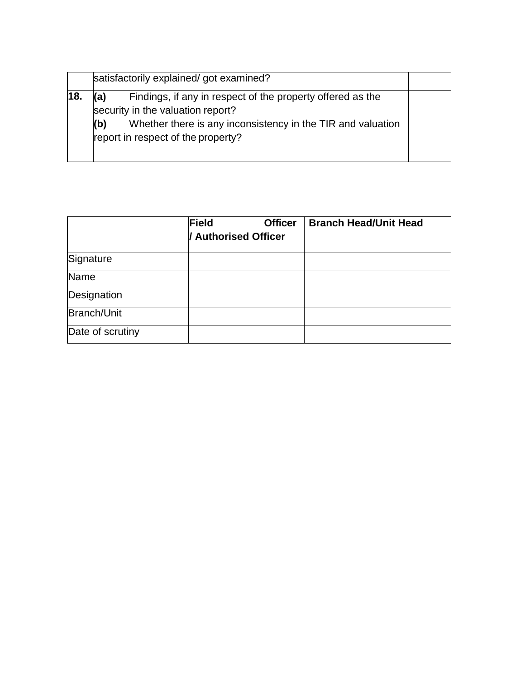|     | satisfactorily explained/ got examined?                                                                                                                                                                            |  |  |
|-----|--------------------------------------------------------------------------------------------------------------------------------------------------------------------------------------------------------------------|--|--|
| 18. | Findings, if any in respect of the property offered as the<br>(a)<br>security in the valuation report?<br>Whether there is any inconsistency in the TIR and valuation<br>(b)<br>report in respect of the property? |  |  |

|                  | Field<br><b>Officer</b><br><b>Authorised Officer</b> | <b>Branch Head/Unit Head</b> |
|------------------|------------------------------------------------------|------------------------------|
| Signature        |                                                      |                              |
| Name             |                                                      |                              |
| Designation      |                                                      |                              |
| Branch/Unit      |                                                      |                              |
| Date of scrutiny |                                                      |                              |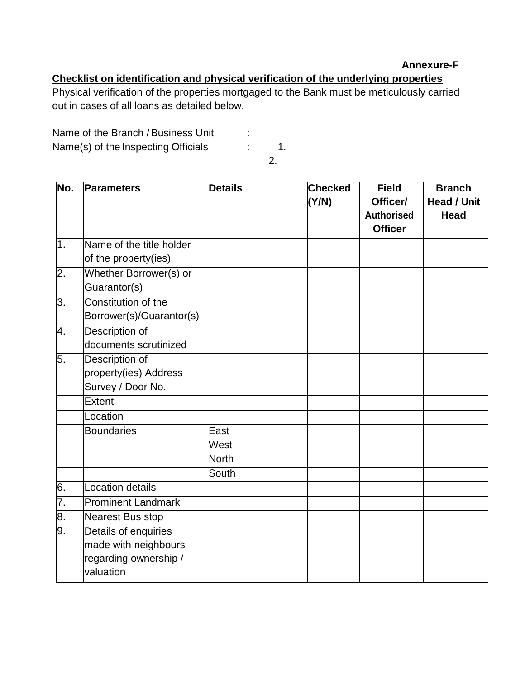#### **Annexure-F**

## **Checklist on identification and physical verification of the underlying properties**

Physical verification of the properties mortgaged to the Bank must be meticulously carried out in cases of all loans as detailed below.

Name of the Branch / Business Unit :

Name(s) of the Inspecting Officials : 1.

2.

| No.              | <b>Parameters</b>                                                                  | <b>Details</b> | <b>Checked</b><br>(Y/N) | <b>Field</b><br>Officer/<br><b>Authorised</b><br><b>Officer</b> | <b>Branch</b><br>Head / Unit<br><b>Head</b> |
|------------------|------------------------------------------------------------------------------------|----------------|-------------------------|-----------------------------------------------------------------|---------------------------------------------|
| $\overline{1}$ . | Name of the title holder<br>of the property(ies)                                   |                |                         |                                                                 |                                             |
| 2.               | Whether Borrower(s) or<br>Guarantor(s)                                             |                |                         |                                                                 |                                             |
| 3.               | Constitution of the<br>Borrower(s)/Guarantor(s)                                    |                |                         |                                                                 |                                             |
| 4.               | Description of<br>documents scrutinized                                            |                |                         |                                                                 |                                             |
| 5.               | Description of<br>property(ies) Address                                            |                |                         |                                                                 |                                             |
|                  | Survey / Door No.                                                                  |                |                         |                                                                 |                                             |
|                  | Extent                                                                             |                |                         |                                                                 |                                             |
|                  | Location                                                                           |                |                         |                                                                 |                                             |
|                  | <b>Boundaries</b>                                                                  | East           |                         |                                                                 |                                             |
|                  |                                                                                    | West           |                         |                                                                 |                                             |
|                  |                                                                                    | North          |                         |                                                                 |                                             |
|                  |                                                                                    | South          |                         |                                                                 |                                             |
| 6.               | <b>Location details</b>                                                            |                |                         |                                                                 |                                             |
| 7.               | <b>Prominent Landmark</b>                                                          |                |                         |                                                                 |                                             |
| $\overline{8}$ . | Nearest Bus stop                                                                   |                |                         |                                                                 |                                             |
| 9.               | Details of enquiries<br>made with neighbours<br>regarding ownership /<br>valuation |                |                         |                                                                 |                                             |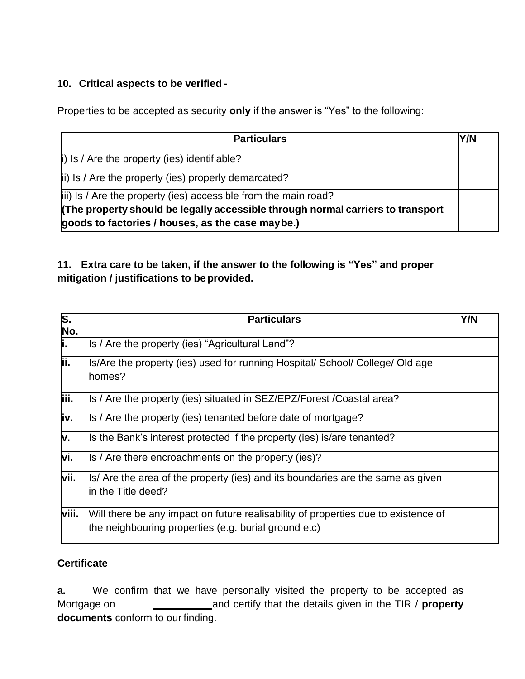#### **10. Critical aspects to be verified -**

Properties to be accepted as security **only** if the answer is "Yes" to the following:

| <b>Particulars</b>                                                                                                                 | Y/N |
|------------------------------------------------------------------------------------------------------------------------------------|-----|
| $\vert$ i) Is / Are the property (ies) identifiable?                                                                               |     |
| ii) Is / Are the property (ies) properly demarcated?                                                                               |     |
| iii) Is / Are the property (ies) accessible from the main road?                                                                    |     |
| The property should be legally accessible through normal carriers to transport<br>goods to factories / houses, as the case maybe.) |     |

#### **11. Extra care to be taken, if the answer to the following is "Yes" and proper mitigation / justifications to beprovided.**

| $\overline{\mathsf{s}}$ .<br>No. | <b>Particulars</b>                                                                                                                         | Y/N |
|----------------------------------|--------------------------------------------------------------------------------------------------------------------------------------------|-----|
| ji.                              | Is / Are the property (ies) "Agricultural Land"?                                                                                           |     |
| İί.                              | Is/Are the property (ies) used for running Hospital/ School/ College/ Old age<br>homes?                                                    |     |
| liii.                            | Is / Are the property (ies) situated in SEZ/EPZ/Forest / Coastal area?                                                                     |     |
| iv.                              | Is / Are the property (ies) tenanted before date of mortgage?                                                                              |     |
| v.                               | Is the Bank's interest protected if the property (ies) is/are tenanted?                                                                    |     |
| vi.                              | Is / Are there encroachments on the property (ies)?                                                                                        |     |
| vii.                             | Is/ Are the area of the property (ies) and its boundaries are the same as given<br>lin the Title deed?                                     |     |
| viii.                            | Will there be any impact on future realisability of properties due to existence of<br>the neighbouring properties (e.g. burial ground etc) |     |

## **Certificate**

**a.** We confirm that we have personally visited the property to be accepted as Mortgage on **and certify that the details given in the TIR / property documents** conform to our finding.